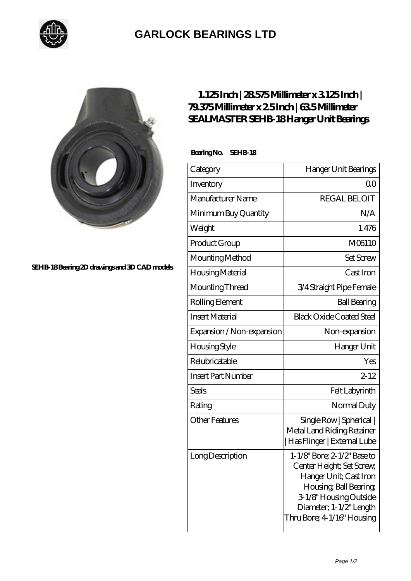

## **[GARLOCK BEARINGS LTD](https://m.letterstopriests.com)**



**[SEHB-18 Bearing 2D drawings and 3D CAD models](https://m.letterstopriests.com/pic-188959.html)**

## **[1.125 Inch | 28.575 Millimeter x 3.125 Inch |](https://m.letterstopriests.com/aw-188959-sealmaster-sehb-18-hanger-unit-bearings.html) [79.375 Millimeter x 2.5 Inch | 63.5 Millimeter](https://m.letterstopriests.com/aw-188959-sealmaster-sehb-18-hanger-unit-bearings.html) [SEALMASTER SEHB-18 Hanger Unit Bearings](https://m.letterstopriests.com/aw-188959-sealmaster-sehb-18-hanger-unit-bearings.html)**

 **Bearing No. SEHB-18**

| Category                  | Hanger Unit Bearings                                                                                                                                                                            |
|---------------------------|-------------------------------------------------------------------------------------------------------------------------------------------------------------------------------------------------|
| Inventory                 | 0 <sup>0</sup>                                                                                                                                                                                  |
| Manufacturer Name         | <b>REGAL BELOIT</b>                                                                                                                                                                             |
| Minimum Buy Quantity      | N/A                                                                                                                                                                                             |
| Weight                    | 1.476                                                                                                                                                                                           |
| Product Group             | M06110                                                                                                                                                                                          |
| Mounting Method           | <b>Set Screw</b>                                                                                                                                                                                |
| Housing Material          | Cast Iron                                                                                                                                                                                       |
| Mounting Thread           | 3/4 Straight Pipe Female                                                                                                                                                                        |
| Rolling Element           | <b>Ball Bearing</b>                                                                                                                                                                             |
| <b>Insert Material</b>    | <b>Black Oxide Coated Steel</b>                                                                                                                                                                 |
| Expansion / Non-expansion | Non-expansion                                                                                                                                                                                   |
| <b>Housing Style</b>      | Hanger Unit                                                                                                                                                                                     |
| Relubricatable            | Yes                                                                                                                                                                                             |
| <b>Insert Part Number</b> | $2 - 12$                                                                                                                                                                                        |
| Seals                     | Felt Labyrinth                                                                                                                                                                                  |
| Rating                    | Normal Duty                                                                                                                                                                                     |
| <b>Other Features</b>     | Single Row   Spherical  <br>Metal Land Riding Retainer<br> Has Flinger   External Lube                                                                                                          |
| Long Description          | 1-1/8" Bore; 2-1/2" Base to<br>Center Height; Set Screw,<br>Hanger Unit; Cast Iron<br>Housing, Ball Bearing,<br>3-1/8" Housing Outside<br>Diameter; 1-1/2" Length<br>Thru Bore; 4 1/16" Housing |